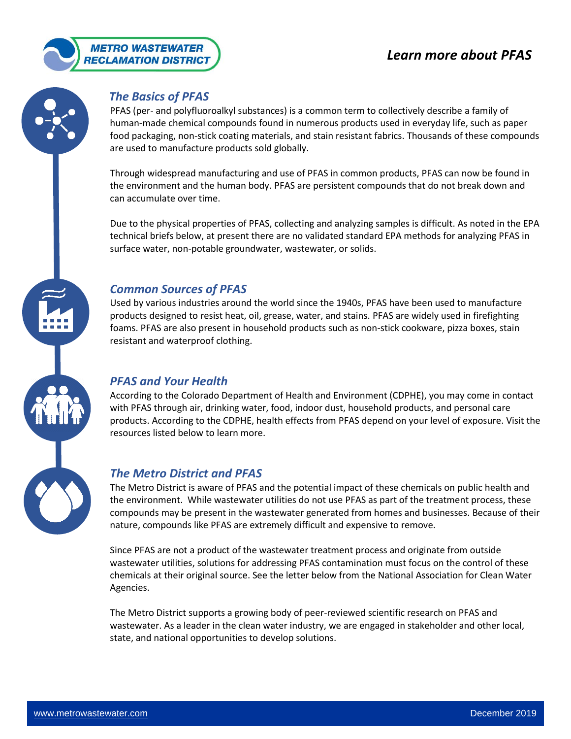



# *The Basics of PFAS*

PFAS (per- and polyfluoroalkyl substances) is a common term to collectively describe a family of human-made chemical compounds found in numerous products used in everyday life, such as paper food packaging, non-stick coating materials, and stain resistant fabrics. Thousands of these compounds are used to manufacture products sold globally.

Through widespread manufacturing and use of PFAS in common products, PFAS can now be found in the environment and the human body. PFAS are persistent compounds that do not break down and can accumulate over time.

Due to the physical properties of PFAS, collecting and analyzing samples is difficult. As noted in the EPA technical briefs below, at present there are no validated standard EPA methods for analyzing PFAS in surface water, non-potable groundwater, wastewater, or solids.

# *Common Sources of PFAS*

Used by various industries around the world since the 1940s, PFAS have been used to manufacture products designed to resist heat, oil, grease, water, and stains. PFAS are widely used in firefighting foams. PFAS are also present in household products such as non-stick cookware, pizza boxes, stain resistant and waterproof clothing.

# *PFAS and Your Health*

According to the Colorado Department of Health and Environment (CDPHE), you may come in contact with PFAS through air, drinking water, food, indoor dust, household products, and personal care products. According to the CDPHE, health effects from PFAS depend on your level of exposure. Visit the resources listed below to learn more.

# *The Metro District and PFAS*

The Metro District is aware of PFAS and the potential impact of these chemicals on public health and the environment. While wastewater utilities do not use PFAS as part of the treatment process, these compounds may be present in the wastewater generated from homes and businesses. Because of their nature, compounds like PFAS are extremely difficult and expensive to remove.

Since PFAS are not a product of the wastewater treatment process and originate from outside wastewater utilities, solutions for addressing PFAS contamination must focus on the control of these chemicals at their original source. See the letter below from the National Association for Clean Water Agencies.

The Metro District supports a growing body of peer-reviewed scientific research on PFAS and wastewater. As a leader in the clean water industry, we are engaged in stakeholder and other local, state, and national opportunities to develop solutions.